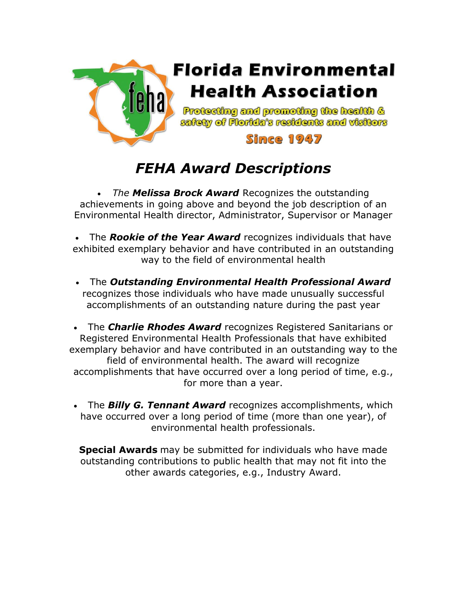

# *FEHA Award Descriptions*

• *The Melissa Brock Award* Recognizes the outstanding achievements in going above and beyond the job description of an Environmental Health director, Administrator, Supervisor or Manager

• The *Rookie of the Year Award* recognizes individuals that have exhibited exemplary behavior and have contributed in an outstanding way to the field of environmental health

• The *Outstanding Environmental Health Professional Award* recognizes those individuals who have made unusually successful accomplishments of an outstanding nature during the past year

• The *Charlie Rhodes Award* recognizes Registered Sanitarians or Registered Environmental Health Professionals that have exhibited exemplary behavior and have contributed in an outstanding way to the field of environmental health. The award will recognize accomplishments that have occurred over a long period of time, e.g., for more than a year.

• The *Billy G. Tennant Award* recognizes accomplishments, which have occurred over a long period of time (more than one year), of environmental health professionals.

**Special Awards** may be submitted for individuals who have made outstanding contributions to public health that may not fit into the other awards categories, e.g., Industry Award.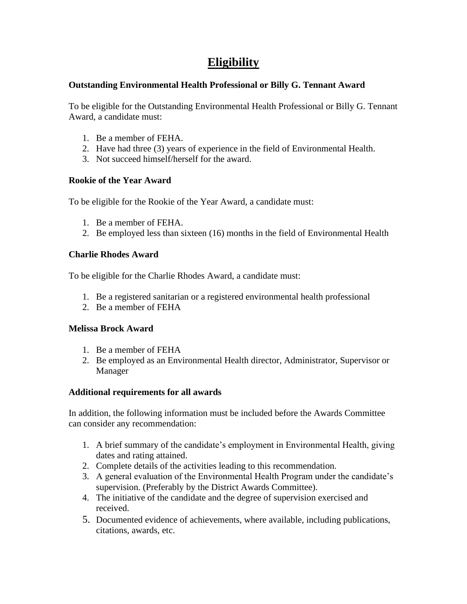# **Eligibility**

## **Outstanding Environmental Health Professional or Billy G. Tennant Award**

To be eligible for the Outstanding Environmental Health Professional or Billy G. Tennant Award, a candidate must:

- 1. Be a member of FEHA.
- 2. Have had three (3) years of experience in the field of Environmental Health.
- 3. Not succeed himself/herself for the award.

# **Rookie of the Year Award**

To be eligible for the Rookie of the Year Award, a candidate must:

- 1. Be a member of FEHA.
- 2. Be employed less than sixteen (16) months in the field of Environmental Health

# **Charlie Rhodes Award**

To be eligible for the Charlie Rhodes Award, a candidate must:

- 1. Be a registered sanitarian or a registered environmental health professional
- 2. Be a member of FEHA

### **Melissa Brock Award**

- 1. Be a member of FEHA
- 2. Be employed as an Environmental Health director, Administrator, Supervisor or Manager

# **Additional requirements for all awards**

In addition, the following information must be included before the Awards Committee can consider any recommendation:

- 1. A brief summary of the candidate's employment in Environmental Health, giving dates and rating attained.
- 2. Complete details of the activities leading to this recommendation.
- 3. A general evaluation of the Environmental Health Program under the candidate's supervision. (Preferably by the District Awards Committee).
- 4. The initiative of the candidate and the degree of supervision exercised and received.
- 5. Documented evidence of achievements, where available, including publications, citations, awards, etc.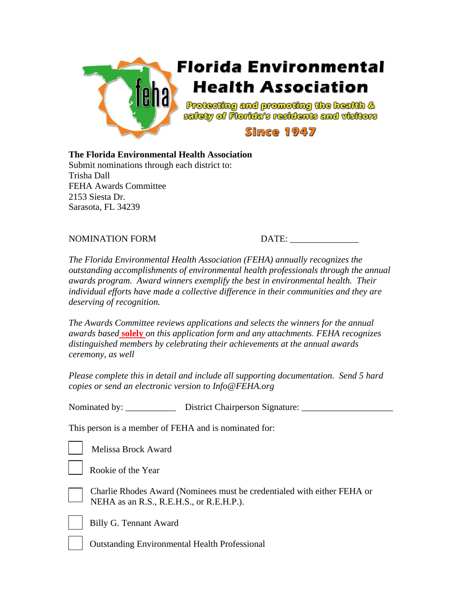

#### **The Florida Environmental Health Association**

Submit nominations through each district to: Trisha Dall FEHA Awards Committee 2153 Siesta Dr. Sarasota, FL 34239

# NOMINATION FORM DATE:

*The Florida Environmental Health Association (FEHA) annually recognizes the outstanding accomplishments of environmental health professionals through the annual awards program. Award winners exemplify the best in environmental health. Their individual efforts have made a collective difference in their communities and they are deserving of recognition.* 

*The Awards Committee reviews applications and selects the winners for the annual awards based* **solely** *on this application form and any attachments. FEHA recognizes distinguished members by celebrating their achievements at the annual awards ceremony, as well* 

*Please complete this in detail and include all supporting documentation. Send 5 hard copies or send an electronic version to Info@FEHA.org*

Nominated by: <br>  $District Chairperson Signature:$ 

This person is a member of FEHA and is nominated for:

Melissa Brock Award

| __ |  |  |
|----|--|--|
|    |  |  |
|    |  |  |
|    |  |  |



Rookie of the Year



Charlie Rhodes Award (Nominees must be credentialed with either FEHA or NEHA as an R.S., R.E.H.S., or R.E.H.P.).



Billy G. Tennant Award

Outstanding Environmental Health Professional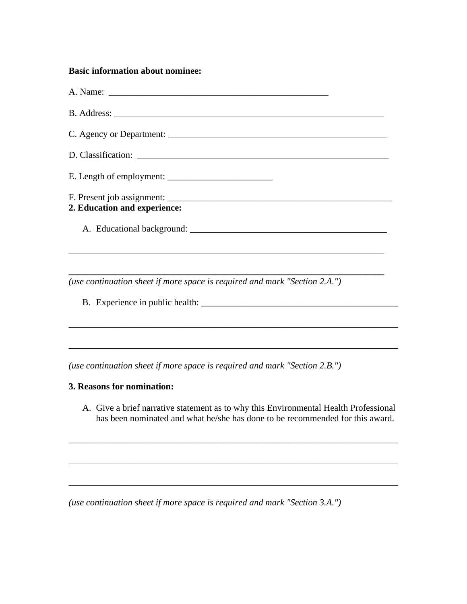#### **Basic information about nominee:**

| 2. Education and experience: |  |
|------------------------------|--|
|                              |  |
|                              |  |

*(use continuation sheet if more space is required and mark "Section 2.A.")*

B. Experience in public health: \_\_\_\_\_\_\_\_\_\_\_\_\_\_\_\_\_\_\_\_\_\_\_\_\_\_\_\_\_\_\_\_\_\_\_\_\_\_\_\_\_\_\_

*(use continuation sheet if more space is required and mark "Section 2.B.")*

## **3. Reasons for nomination:**

A. Give a brief narrative statement as to why this Environmental Health Professional has been nominated and what he/she has done to be recommended for this award.

\_\_\_\_\_\_\_\_\_\_\_\_\_\_\_\_\_\_\_\_\_\_\_\_\_\_\_\_\_\_\_\_\_\_\_\_\_\_\_\_\_\_\_\_\_\_\_\_\_\_\_\_\_\_\_\_\_\_\_\_\_\_\_\_\_\_\_\_\_\_\_\_

\_\_\_\_\_\_\_\_\_\_\_\_\_\_\_\_\_\_\_\_\_\_\_\_\_\_\_\_\_\_\_\_\_\_\_\_\_\_\_\_\_\_\_\_\_\_\_\_\_\_\_\_\_\_\_\_\_\_\_\_\_\_\_\_\_\_\_\_\_\_\_\_

\_\_\_\_\_\_\_\_\_\_\_\_\_\_\_\_\_\_\_\_\_\_\_\_\_\_\_\_\_\_\_\_\_\_\_\_\_\_\_\_\_\_\_\_\_\_\_\_\_\_\_\_\_\_\_\_\_\_\_\_\_\_\_\_\_\_\_\_\_\_\_\_

\_\_\_\_\_\_\_\_\_\_\_\_\_\_\_\_\_\_\_\_\_\_\_\_\_\_\_\_\_\_\_\_\_\_\_\_\_\_\_\_\_\_\_\_\_\_\_\_\_\_\_\_\_\_\_\_\_\_\_\_\_\_\_\_\_\_\_\_\_\_\_\_

\_\_\_\_\_\_\_\_\_\_\_\_\_\_\_\_\_\_\_\_\_\_\_\_\_\_\_\_\_\_\_\_\_\_\_\_\_\_\_\_\_\_\_\_\_\_\_\_\_\_\_\_\_\_\_\_\_\_\_\_\_\_\_\_\_\_\_\_\_\_\_\_

*(use continuation sheet if more space is required and mark "Section 3.A.")*